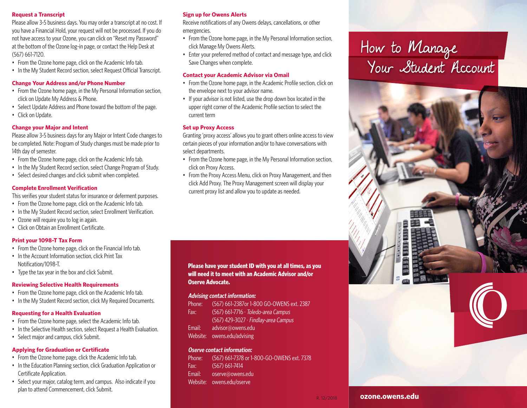#### **Request a Transcript**

Please allow 3-5 business days. You may order a transcript at no cost. If you have a Financial Hold, your request will not be processed. If you do not have access to your Ozone, you can click on "Reset my Password" at the bottom of the Ozone log-in page, or contact the Help Desk at (567) 661-7120.

- From the Ozone home page, click on the Academic Info tab.
- In the My Student Record section, select Request Official Transcript.

#### **Change Your Address and/or Phone Number**

- From the Ozone home page, in the My Personal Information section, click on Update My Address & Phone.
- Select Update Address and Phone toward the bottom of the page.
- Click on Update.

#### **Change your Major and Intent**

Please allow 3-5 business days for any Major or Intent Code changes to be completed. Note: Program of Study changes must be made prior to 14th day of semester.

- From the Ozone home page, click on the Academic Info tab.
- In the My Student Record section, select Change Program of Study.
- Select desired changes and click submit when completed.

#### **Complete Enrollment Verification**

This verifies your student status for insurance or deferment purposes.

- From the Ozone home page, click on the Academic Info tab.
- In the My Student Record section, select Enrollment Verification.
- Ozone will require you to log in again.
- Click on Obtain an Enrollment Certificate.

#### **Print your 1098-T Tax Form**

- From the Ozone home page, click on the Financial Info tab.
- In the Account Information section, click Print Tax Notification/1098-T.
- Type the tax year in the box and click Submit.

#### **Reviewing Selective Health Requirements**

- From the Ozone home page, click on the Academic Info tab.
- In the My Student Record section, click My Required Documents.

#### **Requesting for a Health Evaluation**

- From the Ozone home page, select the Academic Info tab.
- In the Selective Health section, select Request a Health Evaluation.
- Select major and campus, click Submit.

#### **Applying for Graduation or Certificate**

- From the Ozone home page, click the Academic Info tab.
- In the Education Planning section, click Graduation Application or Certificate Application.
- Select your major, catalog term, and campus. Also indicate if you plan to attend Commencement, click Submit.

## **Sign up for Owens Alerts**

Receive notifications of any Owens delays, cancellations, or other emergencies.

- From the Ozone home page, in the My Personal Information section, click Manage My Owens Alerts.
- Enter your preferred method of contact and message type, and click Save Changes when complete.

#### **Contact your Academic Advisor via Omail**

- From the Ozone home page, in the Academic Profile section, click on the envelope next to your advisor name.
- If your advisor is not listed, use the drop down box located in the upper right corner of the Academic Profile section to select the current term

#### **Set up Proxy Access**

Granting 'proxy access' allows you to grant others online access to view certain pieces of your information and/or to have conversations with select departments.

- From the Ozone home page, in the My Personal Information section, click on Proxy Access.
- From the Proxy Access Menu, click on Proxy Management, and then click Add Proxy. The Proxy Management screen will display your current proxy list and allow you to update as needed.

#### **Please have your student ID with you at all times, as you will need it to meet with an Academic Advisor and/or Oserve Advocate.**

#### **Advising contact information:**

- Phone: (567) 661-2387or 1-800 GO-OWENS ext. 2387 Fax: (567) 661-7716 ∙ Toledo-area Campus (567) 429-3027 ∙ Findlay-area Campus
- Email: advisor@owens.edu
- Website: owens.edu/advising

#### **Oserve contact information:**

Phone: (567) 661-7378 or 1-800-GO-OWENS ext. 7378 Fax: (567) 661-7414 Email: oserve@owens.edu

Website: owens.edu/oserve

# How to Manage Your Student Account